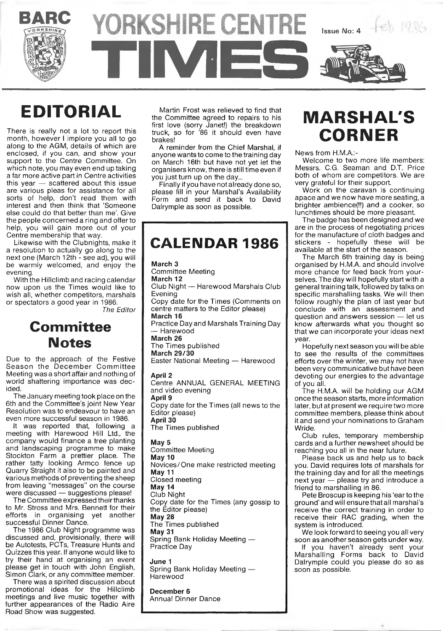



## **EDITORIAL**

There is really not a lot to report this month, however I implore you all to go along to the AGM, details of which are enclosed, if you can, and show your support to the Centre Committee. On which note, you may even end up taking a far more active part in Centre activities this year — scattered about this issue are various pleas for assistance for all sorts of help, don't read them with interest and then think that 'Someone else could do that better than me'. Give the people concerned a ring and offer to help, you will gain more out of your Centre membership that way.

Likewise with the Clubnights, make it a resolution to actually go along to the next one (March 12th - see ad), you will be warmly welcomed, and enjoy the evening.

With the Hillclimb and racing calendar now upon us the Times would like to wish all, whether competitors, marshals or spectators a good year in 1986.

*The Editor*

## **Committee Notes**

Due to the approach of the Festive Season the December Committee Meeting was a short affair and nothing of world shattering importance was decided.

The January meeting took place on the 6th and the Committee's joint New Year Resolution was to endeavour to have an even more successful season in 1986.

It was reported that, following a meeting with Harewood Hill Ltd., the company would finance a tree planting and landscaping programme to make Stockton Farm a prettier place. The rather tatty looking Armco fence up Quarry' Straight it also to be painted and various methods of preventing the sheep from leaving "messages" on the course were discussed — suggestions please!

The Committee expressed their thanks to Mr. Stross and Mrs. Bennett for their efforts in organising yet another successful Dinner Dance.

The 1986 Club Night programme was discussed and, provisionally, there will be Autotests, PCTs, Treasure Hunts and Quizzes this year. If anyone would like to try their hand at organising an event please get in touch with John English, Simon Clark, or any committee member.

There was a spirited discussion about promotional ideas for the Hillclimb meetings and live music together with further appearances of the Radio Aire Road Show was suggested.

Martin Frost was relieved to find that the Committee agreed to repairs to his first love (sorry Janet!) the breakdown truck, so for '86 it should even have brakes!

A reminder from the Chief Marshal, if anyone wants to come to the training day on March 16th but have not yet let the organisers know, there is still time even if you just turn up on the day...

Finally if you have not already done so, please fill in your Marshal's Availability Form and send it back to David Dalrymple as soon as possible.

|  |  |  | <b>CALENDAR 1986</b> |  |  |  |
|--|--|--|----------------------|--|--|--|
|  |  |  |                      |  |  |  |

**March 3** Committee Meeting **March 12** Club Night — Harewood Marshals Club Evening Copy date for the Times (Comments on centre matters to the Editor please) **March 16** Practice Day and Marshals Training Day — Harewood **March 26** The Times published **March 29/30** Easter National Meeting — Harewood **April 2** Centre ANNUAL GENERAL MEETING and video evening **April 9** Copy date for the Times (all news to the Editor please)

**April 30** The Times published

**May 5** Committee Meeting **May 10** Novices/One make restricted meeting **May 11** Closed meeting **May 14** Club Night Copy date for the Times (any gossip to the Editor please) **May 28** The Times published **May 31** Spring Bank Holiday Meeting — Practice Day

**June 1** Spring Bank Holiday Meeting — **Harewood** 

**December 6** Annual Dinner Dance

## **MARSHAL'S CORNER**

News from H.M.A.:-

Welcome to two more life members: Messrs. C.G. Seaman and D.T. Price both of whom are competitors. We are very grateful for their support.

Work on the caravan is continuing apace and we now have more seating, a brighter ambience(l!) and a cooker, so lunchtimes should be more pleasant.

The badge has been designed and we are in the process of negotiating prices for the manufacture of cloth badges and<br>stickers - hopefully these will be stickers - hopefully these will available at the start of the season.

The March 6th training day is being organised by H.M.A. and should involve more chance for feed back from yourselves. The day will hopefully start with a general training talk, followed by talks on specific marshalling tasks. We will then follow roughly the plan of last year but conclude with an assessment and question and answers session — let us know afterwards what you thought so that we can incorporate your ideas next year.

Hopefully next season you will be able to see the results of the committees efforts over the winter, we may not have been very communicative but have been devoting our energies to the advantage of you all.

The H.M.A. will be holding our AGM once the season starts, more information later, but at present we require two more committee members, please think about it and send your nominations to Graham Wride.

Club rules, temporary membership cards and a further newsheet should be reaching you all in the near future.

Please back us and help us to back you. David requires lots of marshals for the training day and for all the meetings next year — please try and introduce a friend to marshalling in 86.

Pete Broscup is keeping his 'ear to the ground' and will ensure that all marshal's receive the correct training in order to receive their RAC grading, when the system is introduced.

We look forward to seeing you all very soon as another season gets under way. If you haven't already sent your Marshalling Forms back to David Dalrymple could you please do so as soon as possible.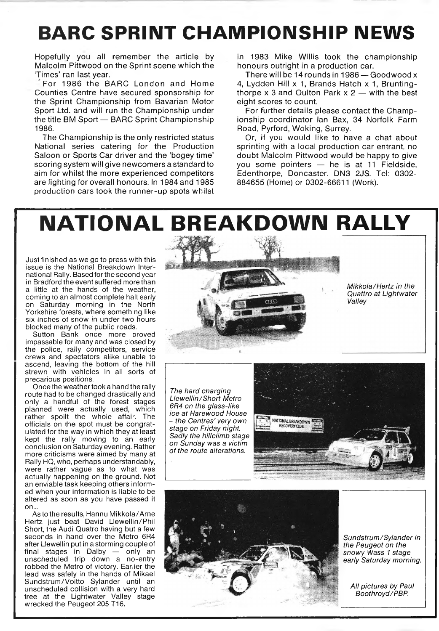## **BARC SPRINT CHAMPIONSHIP NEWS**

Hopefully you all remember the article by Malcolm Pittwood on the Sprint scene which the 'Times' ran last year.

For 1986 the BARC London and Home Counties Centre have secured sponsorship for the Sprint Championship from Bavarian Motor Sport Ltd. and will run the Championship under the title BM Sport — BARC Sprint Championship 1986.

The Championship is the only restricted status National series catering for the Production Saloon or Sports Car driver and the 'bogey time' scoring system will give newcomers a standard to aim for whilst the more experienced competitors are fighting for overall honours. In 1984 and 1985 production cars took the runner-up spots whilst in 1983 Mike Willis took the championship honours outright in a production car.

There will be 14 rounds in 1986 — Goodwood x 4, Lydden Hill x 1, Brands Hatch x 1, Bruntingthorpe  $x$  3 and Oulton Park  $x$  2 — with the best eight scores to count.

For further details please contact the Championship coordinator Ian Bax, 34 Norfolk Farm Road, Pyrford, Woking, Surrey.

Or, if you would like to have a chat about sprinting with a local production car entrant, no doubt Malcolm Pittwood would be happy to give you some pointers — he is at 11 Fieldside, Edenthorpe, Doncaster. DN3 2JS. Tel: 0302- 884655 (Home) or 0302-66611 (Work).

## **NATIONAL BREAKDOWN RALLY**

Just finished as we go to press with this issue is the National Breakdown International Rally. Based for the second year in Bradford the event suffered more than a little at the hands of the weather, coming to an almost complete halt early on Saturday morning in the North Yorkshire forests, where something like six inches of snow in under two hours blocked many of the public roads.

Sutton Bank once more proved impassable for many and was closed by the police, rally competitors, service crews and spectators alike unable to ascend, leaving the bottom of the hill strewn with vehicles in all sorts of precarious positions.

Once the weather took a hand the rally route had to be changed drastically and only a handful of the forest stages planned were actually used, which rather spoilt the whole affair. The officials on the spot must be congratulated for the way in which they at least kept the rally moving to an early conclusion on Saturday evening. Rather more criticisms were aimed by many at Rally HQ, who, perhaps understandably, were rather vague as to what was actually happening on the ground. Not an enviable task keeping others informed when your information is liable to be altered as soon as you have passed it on...

As to the results, Hannu Mikkola/Arne Hertz just beat David Llewellin/ Phil Short, the Audi Quatro having but a few seconds in hand over the Metro 6R4 after Llewellin put in a storming couple of final stages in Dalby — only an unscheduled trip down a no-entry robbed the Metro of victory. Earlier the lead was safely in the hands of Mikael Sundstrum/Voitto Sylander until an unscheduled collision with a very hard tree at the Lightwater Valley stage wrecked the Peugeot 205 T16.





*Sundstrum/Sylander in the Peugeot on the snowy Wass 1 stage early Saturday morning.*

*All pictures by Paul Boothroyd/PBP.*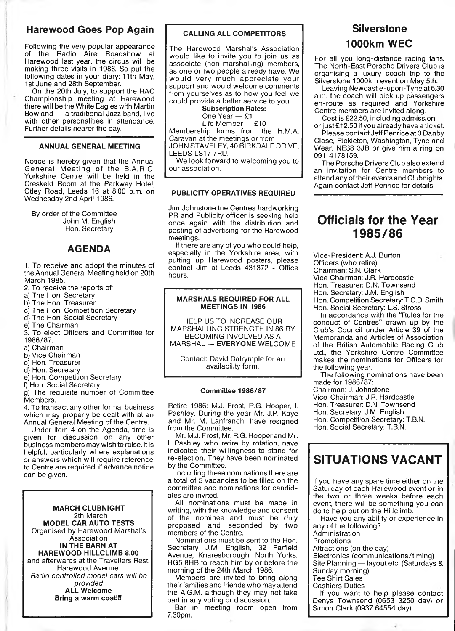### **Harewood Goes Pop Again**

Following the very popular appearance of the Radio Aire Roadshow at Harewood last year, the circus will be making three visits in 1986. So put the following dates in your diary: 11th May, 1st June and 28th September.

On the 20th July, to support the RAC Championship meeting at Harewood there will be the White Eagles with Martin Bowland — a traditional Jazz band, live bowiand — a traditional bazz band, live<br>with other personalities in attendance. Further details nearer the day.

#### **ANNUAL GENERAL MEETING**

Notice is hereby given that the Annual General Meeting of the B.A.R.C. Yorkshire Centre will be held in the Creskeld Room at the Parkway Hotel, Otley Road, Leeds 16 at 8.00 p.m. on Wednesday 2nd April 1986.

By order of the Committee John M. English Hon. Secretary

#### **AGENDA**

1. To receive and adopt the minutes of the Annual General Meeting held on 20th March 1985.

- 2. To receive the reports of:
- a) The Hon. Secretary
- b) The Hon. Treasurer
- c) The Hon. Competition Secretary
- d) The Hon. Social Secretary
- e) The Chairman

3. To elect Officers and Committee for 1986/87.

a) Chairman

- b) Vice Chairman
- c) Hon. Treasurer
- d) Hon. Secretary
- e) Hon. Competition Secretary
- f) Hon. Social Secretary

g) The requisite number of Committee Members.

4. To transact any other formal business which may properly be dealt with at an Annual General Meeting of the Centre.

Under Item 4 on the Agenda, time is given for discussion on any other business members may wish to raise. It is helpful, particularly where explanations or answers which will require reference to Centre are required, if advance notice can be given.

**MARCH CLUBNIGHT** 12th March **MODEL CAR AUTO TESTS** Organised by Harewood Marshal's Association **IN THE BARN AT HAREWOOD HILLCLIMB 8.00** and afterwards at the Travellers Rest, Harewood Avenue. *Radio controlled model cars will be provided* **ALL Welcome Bring a warm coat!!!**

#### **CALLING ALL COMPETITORS**

The Harewood Marshal's Association would like to invite you to join us as associate (non-marshalling) members, as one or two people already have. We would very much appreciate your support and would welcome comments from yourselves as to how you feel we could provide a better service to you.

> **Subscription Rates:** One Year — £1

> Life Member — £10

Membership forms from the H.M.A. Caravan at the meetings or from JOHN STAVELEY, 40 BIRKDALE DRIVE,

LEEDS LS17 7RU.

We look forward to welcoming you to our association.

#### **PUBLICITY OPERATIVES REQUIRED**

Jim Johnstone the Centres hardworking PR and Publicity officer is seeking help once again with the distribution and posting of advertising for the Harewood meetings.

If there are any of you who could help, especially in the Yorkshire area, with putting up Harewood posters, please contact Jim at Leeds 431372 - Office hours.

#### **MARSHALS REQUIRED FOR ALL MEETINGS IN 1986**

HELP US TO INCREASE OUR MARSHALLING STRENGTH IN 86 BY BECOMING INVOLVED AS A MARSHAL — **EVERYONE** WELCOME

Contact: David Dalrymple for an availability form.

#### **Committee 1986/87**

Retire 1986: M.J. Frost, R.G. Hooper, I. Pashley. During the year Mr. J.P. Kaye and Mr. M. Lanfranchi have resigned from the Committee.

Mr. M.J. Frost, Mr. R.G. Hooper and Mr. I. Pashley who retire by rotation, have indicated their willingness to stand for re-election. They have been nominated by the Committee.

Including these nominations there are a total of 5 vacancies to be filled on the committee and nominations for candidates are invited.

All nominations must be made in writing, with the knowledge and consent of the nominee and must be duly proposed and seconded by two members of the Centre.

Nominations must be sent to the Hon. Secretary J.M. English, 32 Farfield Avenue, Knaresborough, North Yorks. HG5 8HB to reach him by or before the morning of the 24th March 1986.

Members are invited to bring along their families and friends who may attend the A.G.M. although they may not take part in any voting or discussion.

Bar in meeting room open from 7.30pm.

### **Silverstone 1000km WEC**

For all you long-distance racing fans. The North-East Porsche Drivers Club is organising a luxury coach trip to the Silverstone 1000km event on May 5th.

Leaving Newcastle-upon-Tyne at 6.30 a.m. the coach will pick up passengers en-route as required and Yorkshire Centre members are invited along.

Cost is £22.50, including admission or just £12.50 if you already have a ticket.

Please contact Jeff Penrice at 3 Danby Close, Rickleton, Washington, Tyne and Wear, NE38 3JB or give him a ring on 091-4178159.

The Porsche Drivers Club also extend an invitation for Centre members to attend any of their events and Clubnights. Again contact Jeff Penrice for details.

### **Officials for the Year 1985/86**

Vice-President: A.J. Burton Officers (who retire): Chairman: S.N. Clark

Vice Chairman: J.R. Hardcastle

Hon. Treasurer: D.N. Townsend

Hon. Secretary: J.M. English

Hon. Competition Secretary: T.C.D. Smith Hon. Social Secretary: L.S. Stross

In accordance with the "Rules for the conduct of Centres" drawn up by the Club's Council under Article 39 of the Memoranda and Articles of Association of the British Automobile Racing Club Ltd., the Yorkshire Centre Committee makes the nominations for Officers for the following year.

The following nominations have been made for 1986/87:

Chairman: J. Johnstone

Vice-Chairman: J.R. Hardcastle

Hon. Treasurer: D.N. Townsend

Hon. Secretary: J.M. English

Hon. Competition Secretary: T.B.N.

Hon. Social Secretary: T.B.N.

### **SITUATIONS VACANT**

If you have any spare time either on the Saturday of each Harewood event or in the two or three weeks before each event, there will be something you can do to help put on the Hillclimb.

Have you any ability or experience in any of the following? Administration

Promotions

Attractions (on the day)

Electronics (communications/timing)

Site Planning — layout etc. (Saturdays &

Sunday morning)

Tee Shirt Sales

Cashiers Duties

If you want to help please contact Denys Townsend (0653 3250 day) or Simon Clark (0937 64554 day).